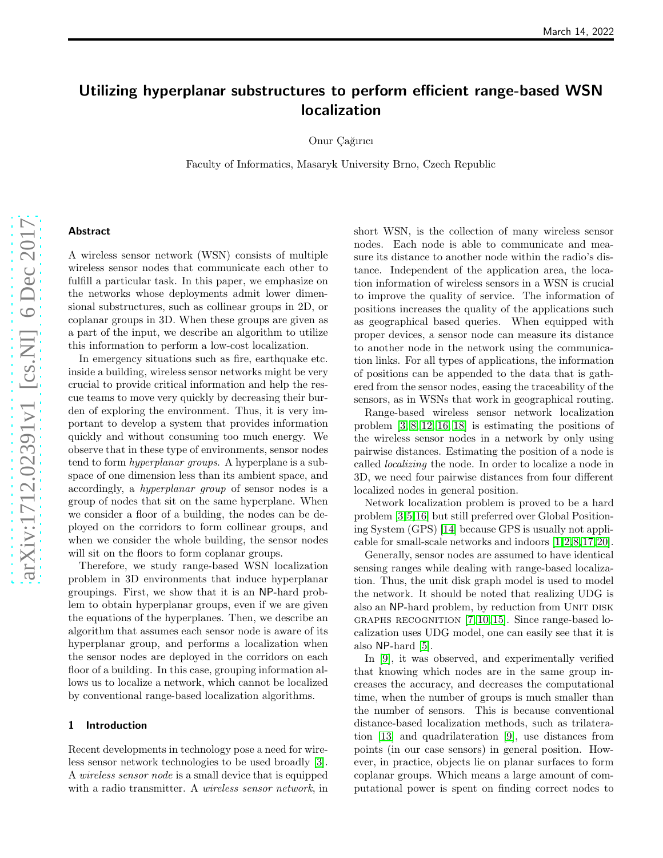# Utilizing hyperplanar substructures to perform efficient range-based WSN localization

Onur Cağırıcı

Faculty of Informatics, Masaryk University Brno, Czech Republic

# Abstract

A wireless sensor network (WSN) consists of multiple wireless sensor nodes that communicate each other to fulfill a particular task. In this paper, we emphasize on the networks whose deployments admit lower dimensional substructures, such as collinear groups in 2D, or coplanar groups in 3D. When these groups are given as a part of the input, we describe an algorithm to utilize this information to perform a low-cost localization.

In emergency situations such as fire, earthquake etc. inside a building, wireless sensor networks might be very crucial to provide critical information and help the rescue teams to move very quickly by decreasing their burden of exploring the environment. Thus, it is very important to develop a system that provides information quickly and without consuming too much energy. We observe that in these type of environments, sensor nodes tend to form hyperplanar groups. A hyperplane is a subspace of one dimension less than its ambient space, and accordingly, a hyperplanar group of sensor nodes is a group of nodes that sit on the same hyperplane. When we consider a floor of a building, the nodes can be deployed on the corridors to form collinear groups, and when we consider the whole building, the sensor nodes will sit on the floors to form coplanar groups.

Therefore, we study range-based WSN localization problem in 3D environments that induce hyperplanar groupings. First, we show that it is an NP-hard problem to obtain hyperplanar groups, even if we are given the equations of the hyperplanes. Then, we describe an algorithm that assumes each sensor node is aware of its hyperplanar group, and performs a localization when the sensor nodes are deployed in the corridors on each floor of a building. In this case, grouping information allows us to localize a network, which cannot be localized by conventional range-based localization algorithms.

## 1 Introduction

Recent developments in technology pose a need for wireless sensor network technologies to be used broadly [\[3\]](#page-7-0). A wireless sensor node is a small device that is equipped with a radio transmitter. A *wireless sensor network*, in short WSN, is the collection of many wireless sensor nodes. Each node is able to communicate and measure its distance to another node within the radio's distance. Independent of the application area, the location information of wireless sensors in a WSN is crucial to improve the quality of service. The information of positions increases the quality of the applications such as geographical based queries. When equipped with proper devices, a sensor node can measure its distance to another node in the network using the communication links. For all types of applications, the information of positions can be appended to the data that is gathered from the sensor nodes, easing the traceability of the sensors, as in WSNs that work in geographical routing.

Range-based wireless sensor network localization problem [\[3,](#page-7-0) [8,](#page-7-1) [12,](#page-7-2) [16,](#page-7-3) [18\]](#page-7-4) is estimating the positions of the wireless sensor nodes in a network by only using pairwise distances. Estimating the position of a node is called localizing the node. In order to localize a node in 3D, we need four pairwise distances from four different localized nodes in general position.

Network localization problem is proved to be a hard problem [\[3,](#page-7-0)[5,](#page-7-5)[16\]](#page-7-3) but still preferred over Global Positioning System (GPS) [\[14\]](#page-7-6) because GPS is usually not applicable for small-scale networks and indoors [\[1,](#page-7-7)[2,](#page-7-8)[8,](#page-7-1)[17,](#page-7-9)[20\]](#page-7-10).

Generally, sensor nodes are assumed to have identical sensing ranges while dealing with range-based localization. Thus, the unit disk graph model is used to model the network. It should be noted that realizing UDG is also an NP-hard problem, by reduction from UNIT DISK GRAPHS RECOGNITION  $[7, 10, 15]$  $[7, 10, 15]$  $[7, 10, 15]$ . Since range-based localization uses UDG model, one can easily see that it is also NP-hard [\[5\]](#page-7-5).

In [\[9\]](#page-7-14), it was observed, and experimentally verified that knowing which nodes are in the same group increases the accuracy, and decreases the computational time, when the number of groups is much smaller than the number of sensors. This is because conventional distance-based localization methods, such as trilateration [\[13\]](#page-7-15) and quadrilateration [\[9\]](#page-7-14), use distances from points (in our case sensors) in general position. However, in practice, objects lie on planar surfaces to form coplanar groups. Which means a large amount of computational power is spent on finding correct nodes to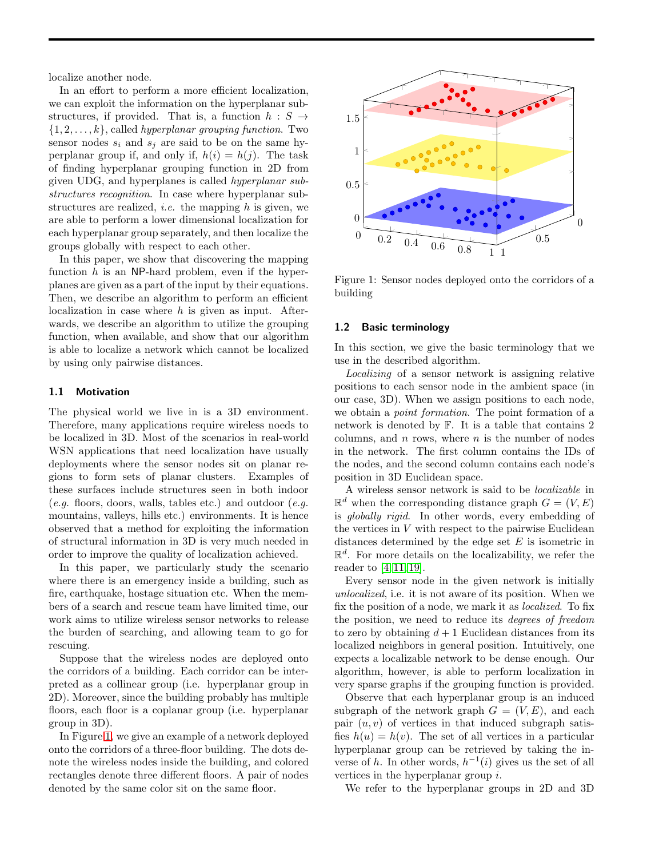localize another node.

In an effort to perform a more efficient localization, we can exploit the information on the hyperplanar substructures, if provided. That is, a function  $h : S \rightarrow$  $\{1, 2, \ldots, k\}$ , called *hyperplanar grouping function*. Two sensor nodes  $s_i$  and  $s_j$  are said to be on the same hyperplanar group if, and only if,  $h(i) = h(j)$ . The task of finding hyperplanar grouping function in 2D from given UDG, and hyperplanes is called hyperplanar substructures recognition. In case where hyperplanar substructures are realized, *i.e.* the mapping  $h$  is given, we are able to perform a lower dimensional localization for each hyperplanar group separately, and then localize the groups globally with respect to each other.

In this paper, we show that discovering the mapping function  $h$  is an NP-hard problem, even if the hyperplanes are given as a part of the input by their equations. Then, we describe an algorithm to perform an efficient localization in case where  $h$  is given as input. Afterwards, we describe an algorithm to utilize the grouping function, when available, and show that our algorithm is able to localize a network which cannot be localized by using only pairwise distances.

#### 1.1 Motivation

The physical world we live in is a 3D environment. Therefore, many applications require wireless noeds to be localized in 3D. Most of the scenarios in real-world WSN applications that need localization have usually deployments where the sensor nodes sit on planar regions to form sets of planar clusters. Examples of these surfaces include structures seen in both indoor  $(e.g.$  floors, doors, walls, tables etc.) and outdoor  $(e.g.$ mountains, valleys, hills etc.) environments. It is hence observed that a method for exploiting the information of structural information in 3D is very much needed in order to improve the quality of localization achieved.

In this paper, we particularly study the scenario where there is an emergency inside a building, such as fire, earthquake, hostage situation etc. When the members of a search and rescue team have limited time, our work aims to utilize wireless sensor networks to release the burden of searching, and allowing team to go for rescuing.

Suppose that the wireless nodes are deployed onto the corridors of a building. Each corridor can be interpreted as a collinear group (i.e. hyperplanar group in 2D). Moreover, since the building probably has multiple floors, each floor is a coplanar group (i.e. hyperplanar group in 3D).

In Figure [1,](#page-1-0) we give an example of a network deployed onto the corridors of a three-floor building. The dots denote the wireless nodes inside the building, and colored rectangles denote three different floors. A pair of nodes denoted by the same color sit on the same floor.



<span id="page-1-0"></span>Figure 1: Sensor nodes deployed onto the corridors of a building

#### 1.2 Basic terminology

In this section, we give the basic terminology that we use in the described algorithm.

Localizing of a sensor network is assigning relative positions to each sensor node in the ambient space (in our case, 3D). When we assign positions to each node, we obtain a point formation. The point formation of a network is denoted by F. It is a table that contains 2 columns, and  $n$  rows, where  $n$  is the number of nodes in the network. The first column contains the IDs of the nodes, and the second column contains each node's position in 3D Euclidean space.

A wireless sensor network is said to be localizable in  $\mathbb{R}^d$  when the corresponding distance graph  $G = (V, E)$ is globally rigid. In other words, every embedding of the vertices in V with respect to the pairwise Euclidean distances determined by the edge set  $E$  is isometric in  $\mathbb{R}^d$ . For more details on the localizability, we refer the reader to [\[4,](#page-7-16) [11,](#page-7-17) [19\]](#page-7-18).

Every sensor node in the given network is initially unlocalized, i.e. it is not aware of its position. When we fix the position of a node, we mark it as localized. To fix the position, we need to reduce its degrees of freedom to zero by obtaining  $d+1$  Euclidean distances from its localized neighbors in general position. Intuitively, one expects a localizable network to be dense enough. Our algorithm, however, is able to perform localization in very sparse graphs if the grouping function is provided.

Observe that each hyperplanar group is an induced subgraph of the network graph  $G = (V, E)$ , and each pair  $(u, v)$  of vertices in that induced subgraph satisfies  $h(u) = h(v)$ . The set of all vertices in a particular hyperplanar group can be retrieved by taking the inverse of h. In other words,  $h^{-1}(i)$  gives us the set of all vertices in the hyperplanar group i.

We refer to the hyperplanar groups in 2D and 3D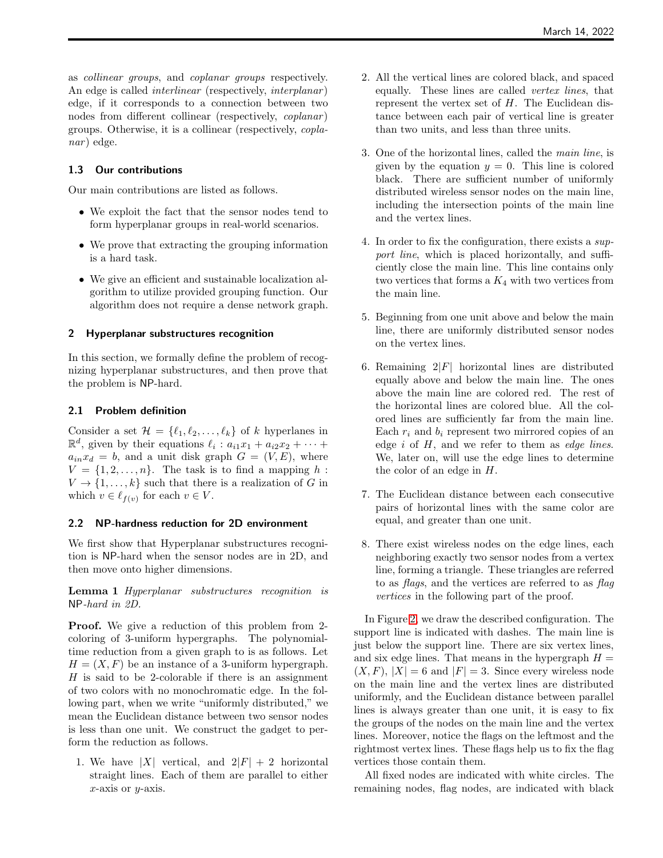as collinear groups, and coplanar groups respectively. An edge is called *interlinear* (respectively, *interplanar*) edge, if it corresponds to a connection between two nodes from different collinear (respectively, *coplanar*) groups. Otherwise, it is a collinear (respectively, copla $nar$ ) edge.

# 1.3 Our contributions

Our main contributions are listed as follows.

- We exploit the fact that the sensor nodes tend to form hyperplanar groups in real-world scenarios.
- We prove that extracting the grouping information is a hard task.
- We give an efficient and sustainable localization algorithm to utilize provided grouping function. Our algorithm does not require a dense network graph.

#### 2 Hyperplanar substructures recognition

In this section, we formally define the problem of recognizing hyperplanar substructures, and then prove that the problem is NP-hard.

#### 2.1 Problem definition

Consider a set  $\mathcal{H} = \{\ell_1, \ell_2, \ldots, \ell_k\}$  of k hyperlanes in  $\mathbb{R}^d$ , given by their equations  $\ell_i : a_{i1}x_1 + a_{i2}x_2 + \cdots +$  $a_{in}x_d = b$ , and a unit disk graph  $G = (V, E)$ , where  $V = \{1, 2, \ldots, n\}$ . The task is to find a mapping h:  $V \to \{1, \ldots, k\}$  such that there is a realization of G in which  $v \in \ell_{f(v)}$  for each  $v \in V$ .

## <span id="page-2-0"></span>2.2 NP-hardness reduction for 2D environment

We first show that Hyperplanar substructures recognition is NP-hard when the sensor nodes are in 2D, and then move onto higher dimensions.

<span id="page-2-1"></span>Lemma 1 Hyperplanar substructures recognition is NP-hard in 2D.

Proof. We give a reduction of this problem from 2 coloring of 3-uniform hypergraphs. The polynomialtime reduction from a given graph to is as follows. Let  $H = (X, F)$  be an instance of a 3-uniform hypergraph.  $H$  is said to be 2-colorable if there is an assignment of two colors with no monochromatic edge. In the following part, when we write "uniformly distributed," we mean the Euclidean distance between two sensor nodes is less than one unit. We construct the gadget to perform the reduction as follows.

1. We have |X| vertical, and  $2|F| + 2$  horizontal straight lines. Each of them are parallel to either  $x$ -axis or  $y$ -axis.

- 2. All the vertical lines are colored black, and spaced equally. These lines are called vertex lines, that represent the vertex set of  $H$ . The Euclidean distance between each pair of vertical line is greater than two units, and less than three units.
- 3. One of the horizontal lines, called the main line, is given by the equation  $y = 0$ . This line is colored black. There are sufficient number of uniformly distributed wireless sensor nodes on the main line, including the intersection points of the main line and the vertex lines.
- 4. In order to fix the configuration, there exists a support line, which is placed horizontally, and sufficiently close the main line. This line contains only two vertices that forms a  $K_4$  with two vertices from the main line.
- 5. Beginning from one unit above and below the main line, there are uniformly distributed sensor nodes on the vertex lines.
- 6. Remaining  $2|F|$  horizontal lines are distributed equally above and below the main line. The ones above the main line are colored red. The rest of the horizontal lines are colored blue. All the colored lines are sufficiently far from the main line. Each  $r_i$  and  $b_i$  represent two mirrored copies of an edge  $i$  of  $H$ , and we refer to them as *edge lines*. We, later on, will use the edge lines to determine the color of an edge in H.
- 7. The Euclidean distance between each consecutive pairs of horizontal lines with the same color are equal, and greater than one unit.
- 8. There exist wireless nodes on the edge lines, each neighboring exactly two sensor nodes from a vertex line, forming a triangle. These triangles are referred to as flags, and the vertices are referred to as flag vertices in the following part of the proof.

In Figure [2,](#page-3-0) we draw the described configuration. The support line is indicated with dashes. The main line is just below the support line. There are six vertex lines, and six edge lines. That means in the hypergraph  $H =$  $(X, F), |X| = 6$  and  $|F| = 3$ . Since every wireless node on the main line and the vertex lines are distributed uniformly, and the Euclidean distance between parallel lines is always greater than one unit, it is easy to fix the groups of the nodes on the main line and the vertex lines. Moreover, notice the flags on the leftmost and the rightmost vertex lines. These flags help us to fix the flag vertices those contain them.

All fixed nodes are indicated with white circles. The remaining nodes, flag nodes, are indicated with black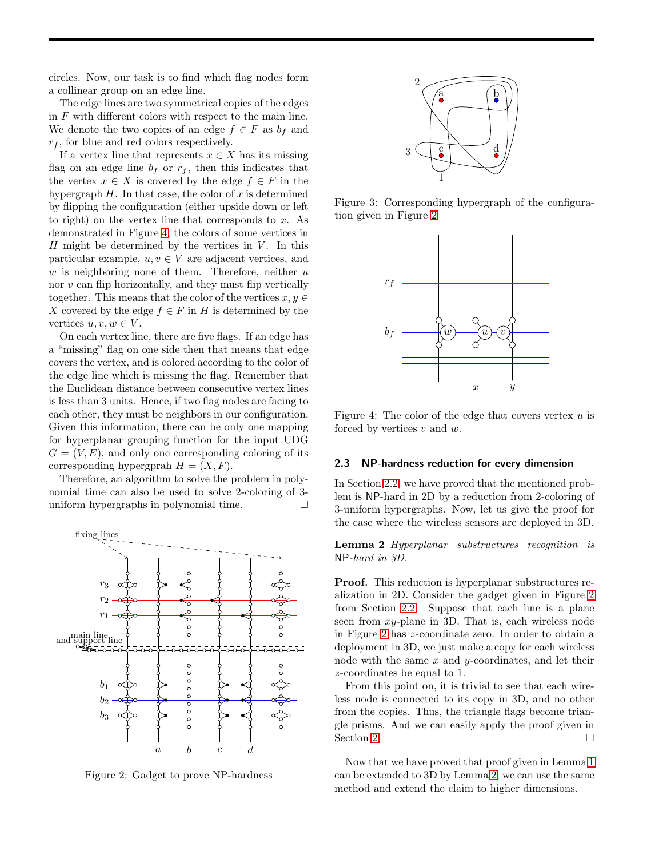circles. Now, our task is to find which flag nodes form a collinear group on an edge line.

The edge lines are two symmetrical copies of the edges in F with different colors with respect to the main line. We denote the two copies of an edge  $f \in F$  as  $b_f$  and  $r_f$ , for blue and red colors respectively.

If a vertex line that represents  $x \in X$  has its missing flag on an edge line  $b_f$  or  $r_f$ , then this indicates that the vertex  $x \in X$  is covered by the edge  $f \in F$  in the hypergraph  $H$ . In that case, the color of x is determined by flipping the configuration (either upside down or left to right) on the vertex line that corresponds to  $x$ . As demonstrated in Figure [4,](#page-3-1) the colors of some vertices in  $H$  might be determined by the vertices in  $V$ . In this particular example,  $u, v \in V$  are adjacent vertices, and w is neighboring none of them. Therefore, neither  $u$ nor v can flip horizontally, and they must flip vertically together. This means that the color of the vertices  $x, y \in$ X covered by the edge  $f \in F$  in H is determined by the vertices  $u, v, w \in V$ .

On each vertex line, there are five flags. If an edge has a "missing" flag on one side then that means that edge covers the vertex, and is colored according to the color of the edge line which is missing the flag. Remember that the Euclidean distance between consecutive vertex lines is less than 3 units. Hence, if two flag nodes are facing to each other, they must be neighbors in our configuration. Given this information, there can be only one mapping for hyperplanar grouping function for the input UDG  $G = (V, E)$ , and only one corresponding coloring of its corresponding hypergprah  $H = (X, F)$ .

Therefore, an algorithm to solve the problem in polynomial time can also be used to solve 2-coloring of 3 uniform hypergraphs in polynomial time.



<span id="page-3-0"></span>Figure 2: Gadget to prove NP-hardness



Figure 3: Corresponding hypergraph of the configuration given in Figure [2](#page-3-0)



<span id="page-3-1"></span>Figure 4: The color of the edge that covers vertex  $u$  is forced by vertices  $v$  and  $w$ .

#### 2.3 NP-hardness reduction for every dimension

In Section [2.2,](#page-2-0) we have proved that the mentioned problem is NP-hard in 2D by a reduction from 2-coloring of 3-uniform hypergraphs. Now, let us give the proof for the case where the wireless sensors are deployed in 3D.

<span id="page-3-2"></span>Lemma 2 Hyperplanar substructures recognition is NP-hard in 3D.

Proof. This reduction is hyperplanar substructures realization in 2D. Consider the gadget given in Figure [2](#page-3-0) from Section [2.2.](#page-2-0) Suppose that each line is a plane seen from xy-plane in 3D. That is, each wireless node in Figure [2](#page-3-0) has z-coordinate zero. In order to obtain a deployment in 3D, we just make a copy for each wireless node with the same  $x$  and  $y$ -coordinates, and let their z-coordinates be equal to 1.

From this point on, it is trivial to see that each wireless node is connected to its copy in 3D, and no other from the copies. Thus, the triangle flags become triangle prisms. And we can easily apply the proof given in Section [2.](#page-3-0)

Now that we have proved that proof given in Lemma [1](#page-2-1) can be extended to 3D by Lemma [2,](#page-3-2) we can use the same method and extend the claim to higher dimensions.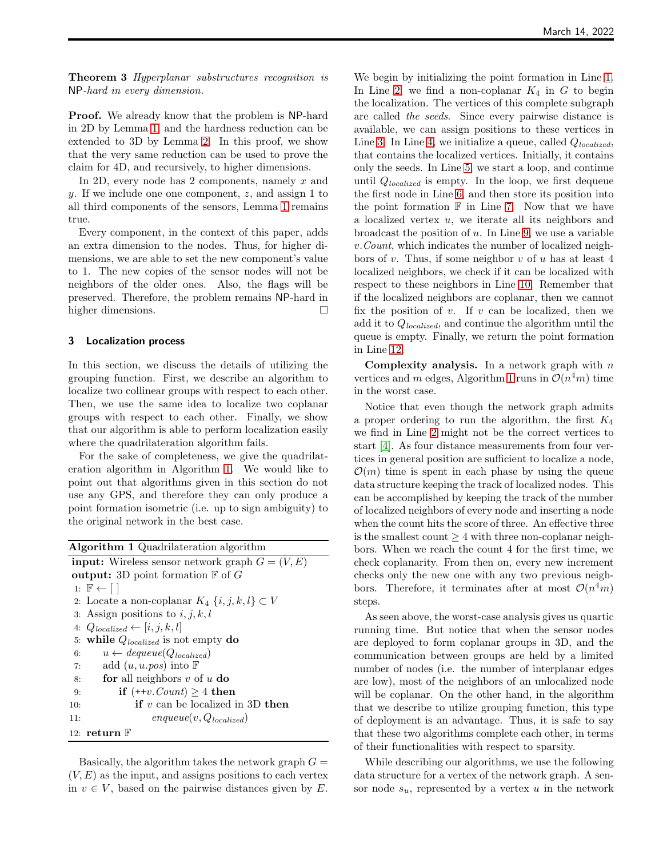Theorem 3 Hyperplanar substructures recognition is NP-hard in every dimension.

Proof. We already know that the problem is NP-hard in 2D by Lemma [1,](#page-2-1) and the hardness reduction can be extended to 3D by Lemma [2.](#page-3-2) In this proof, we show that the very same reduction can be used to prove the claim for 4D, and recursively, to higher dimensions.

In 2D, every node has 2 components, namely  $x$  and y. If we include one one component,  $z$ , and assign 1 to all third components of the sensors, Lemma [1](#page-2-1) remains true.

Every component, in the context of this paper, adds an extra dimension to the nodes. Thus, for higher dimensions, we are able to set the new component's value to 1. The new copies of the sensor nodes will not be neighbors of the older ones. Also, the flags will be preserved. Therefore, the problem remains NP-hard in higher dimensions.

#### <span id="page-4-1"></span>3 Localization process

In this section, we discuss the details of utilizing the grouping function. First, we describe an algorithm to localize two collinear groups with respect to each other. Then, we use the same idea to localize two coplanar groups with respect to each other. Finally, we show that our algorithm is able to perform localization easily where the quadrilateration algorithm fails.

For the sake of completeness, we give the quadrilateration algorithm in Algorithm [1.](#page-4-0) We would like to point out that algorithms given in this section do not use any GPS, and therefore they can only produce a point formation isometric (i.e. up to sign ambiguity) to the original network in the best case.

<span id="page-4-0"></span>

| <b>Algorithm 1</b> Quadrilateration algorithm             |
|-----------------------------------------------------------|
| <b>input:</b> Wireless sensor network graph $G = (V, E)$  |
| output: 3D point formation $\mathbb F$ of $G$             |
| 1: $\mathbb{F} \leftarrow  $                              |
| 2. Locate a non-coplanar $K_4 \{i, j, k, l\} \subset V$   |
| 3: Assign positions to $i, j, k, l$                       |
| 4: $Q_{\textit{localized}} \leftarrow [i, j, k, l]$       |
| 5: while $Q_{localized}$ is not empty do                  |
| $u \leftarrow \text{dequeue}(Q_{\text{localized}})$<br>6: |
| add $(u, u. pos)$ into $\mathbb F$<br>7:                  |
| for all neighbors $v$ of $u$ do<br>8:                     |
| if $(+v$ . <i>Count</i> ) $\geq 4$ then<br>9:             |
| if $v$ can be localized in 3D then<br>10:                 |
| $enqueue(v, Q_{localized})$<br>11:                        |
| 12: return $\mathbb F$                                    |

Basically, the algorithm takes the network graph  $G =$  $(V, E)$  as the input, and assigns positions to each vertex in  $v \in V$ , based on the pairwise distances given by E.

We begin by initializing the point formation in Line [1.](#page-4-1) In Line [2,](#page-4-1) we find a non-coplanar  $K_4$  in G to begin the localization. The vertices of this complete subgraph are called the seeds. Since every pairwise distance is available, we can assign positions to these vertices in Line [3.](#page-4-1) In Line [4,](#page-4-1) we initialize a queue, called  $Q_{localized}$ , that contains the localized vertices. Initially, it contains only the seeds. In Line [5,](#page-4-1) we start a loop, and continue until  $Q_{localized}$  is empty. In the loop, we first dequeue the first node in Line [6,](#page-4-1) and then store its position into the point formation  $\mathbb F$  in Line [7.](#page-4-1) Now that we have a localized vertex u, we iterate all its neighbors and broadcast the position of  $u$ . In Line [9,](#page-4-1) we use a variable v.Count, which indicates the number of localized neighbors of v. Thus, if some neighbor v of u has at least 4 localized neighbors, we check if it can be localized with respect to these neighbors in Line [10.](#page-4-1) Remember that if the localized neighbors are coplanar, then we cannot fix the position of  $v$ . If  $v$  can be localized, then we add it to  $Q_{localized}$ , and continue the algorithm until the queue is empty. Finally, we return the point formation in Line [12.](#page-4-1)

**Complexity analysis.** In a network graph with  $n$ vertices and m edges, Algorithm [1](#page-4-0) runs in  $\mathcal{O}(n^4m)$  time in the worst case.

Notice that even though the network graph admits a proper ordering to run the algorithm, the first  $K_4$ we find in Line [2](#page-4-1) might not be the correct vertices to start [\[4\]](#page-7-16). As four distance measurements from four vertices in general position are sufficient to localize a node,  $\mathcal{O}(m)$  time is spent in each phase by using the queue data structure keeping the track of localized nodes. This can be accomplished by keeping the track of the number of localized neighbors of every node and inserting a node when the count hits the score of three. An effective three is the smallest count  $\geq 4$  with three non-coplanar neighbors. When we reach the count 4 for the first time, we check coplanarity. From then on, every new increment checks only the new one with any two previous neighbors. Therefore, it terminates after at most  $\mathcal{O}(n^4m)$ steps.

As seen above, the worst-case analysis gives us quartic running time. But notice that when the sensor nodes are deployed to form coplanar groups in 3D, and the communication between groups are held by a limited number of nodes (i.e. the number of interplanar edges are low), most of the neighbors of an unlocalized node will be coplanar. On the other hand, in the algorithm that we describe to utilize grouping function, this type of deployment is an advantage. Thus, it is safe to say that these two algorithms complete each other, in terms of their functionalities with respect to sparsity.

While describing our algorithms, we use the following data structure for a vertex of the network graph. A sensor node  $s_u$ , represented by a vertex u in the network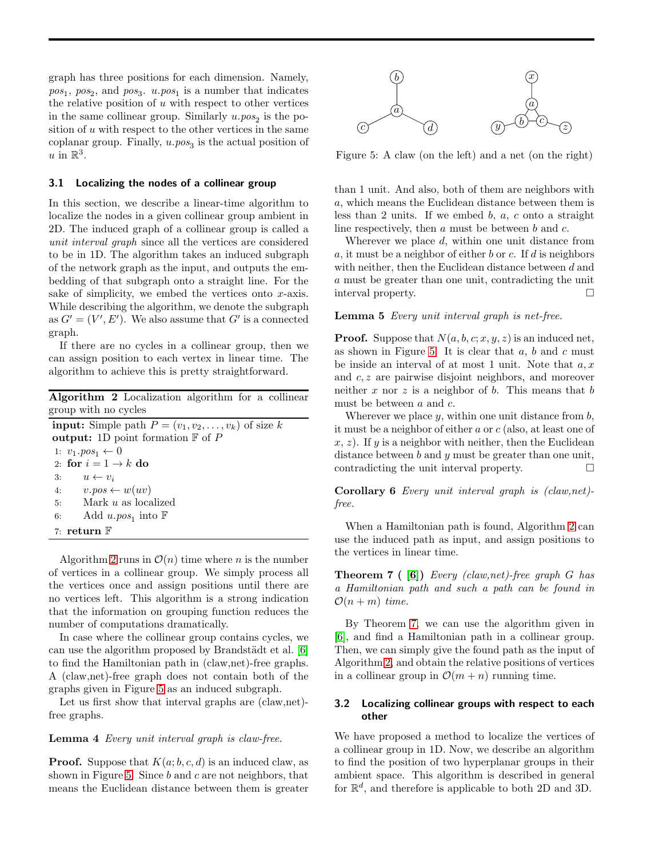graph has three positions for each dimension. Namely,  $pos_1$ ,  $pos_2$ , and  $pos_3$ .  $u.pop_1$  is a number that indicates the relative position of  $u$  with respect to other vertices in the same collinear group. Similarly  $u.pos_2$  is the position of  $u$  with respect to the other vertices in the same coplanar group. Finally,  $u.pos_3$  is the actual position of u in  $\mathbb{R}^3$ .

#### 3.1 Localizing the nodes of a collinear group

In this section, we describe a linear-time algorithm to localize the nodes in a given collinear group ambient in 2D. The induced graph of a collinear group is called a unit interval graph since all the vertices are considered to be in 1D. The algorithm takes an induced subgraph of the network graph as the input, and outputs the embedding of that subgraph onto a straight line. For the sake of simplicity, we embed the vertices onto  $x$ -axis. While describing the algorithm, we denote the subgraph as  $G' = (V', E')$ . We also assume that G' is a connected graph.

If there are no cycles in a collinear group, then we can assign position to each vertex in linear time. The algorithm to achieve this is pretty straightforward.

<span id="page-5-0"></span>

| <b>Algorithm 2</b> Localization algorithm for a collinear        |
|------------------------------------------------------------------|
| group with no cycles                                             |
| <b>input:</b> Simple path $P = (v_1, v_2, \dots, v_k)$ of size k |
| output: 1D point formation $\mathbb F$ of P                      |
| 1: $v_1.pos_1 \leftarrow 0$                                      |
| 2: for $i = 1 \rightarrow k$ do                                  |
| 3:<br>$u \leftarrow v_i$                                         |
| 4: $v.\textit{pos} \leftarrow w(uv)$                             |
| Mark $u$ as localized<br>5:                                      |
| Add $u. pos_1$ into $\mathbb F$<br>6:                            |

7: return F

Algorithm [2](#page-5-0) runs in  $\mathcal{O}(n)$  time where *n* is the number of vertices in a collinear group. We simply process all the vertices once and assign positions until there are no vertices left. This algorithm is a strong indication that the information on grouping function reduces the number of computations dramatically.

In case where the collinear group contains cycles, we can use the algorithm proposed by Brandstädt et al. [\[6\]](#page-7-19) to find the Hamiltonian path in (claw,net)-free graphs. A (claw,net)-free graph does not contain both of the graphs given in Figure [5](#page-5-1) as an induced subgraph.

Let us first show that interval graphs are (claw,net) free graphs.

#### Lemma 4 Every unit interval graph is claw-free.

**Proof.** Suppose that  $K(a; b, c, d)$  is an induced claw, as shown in Figure [5.](#page-5-1) Since  $b$  and  $c$  are not neighbors, that means the Euclidean distance between them is greater



<span id="page-5-1"></span>Figure 5: A claw (on the left) and a net (on the right)

than 1 unit. And also, both of them are neighbors with a, which means the Euclidean distance between them is less than 2 units. If we embed  $b, a, c$  onto a straight line respectively, then  $a$  must be between  $b$  and  $c$ .

Wherever we place d, within one unit distance from a, it must be a neighbor of either b or c. If d is neighbors with neither, then the Euclidean distance between d and a must be greater than one unit, contradicting the unit interval property.

#### Lemma 5 Every unit interval graph is net-free.

**Proof.** Suppose that  $N(a, b, c; x, y, z)$  is an induced net, as shown in Figure [5.](#page-5-1) It is clear that  $a, b$  and  $c$  must be inside an interval of at most 1 unit. Note that  $a, x$ and c, z are pairwise disjoint neighbors, and moreover neither x nor z is a neighbor of  $b$ . This means that  $b$ must be between a and c.

Wherever we place  $y$ , within one unit distance from  $b$ , it must be a neighbor of either a or c (also, at least one of  $x, z$ ). If y is a neighbor with neither, then the Euclidean distance between  $b$  and  $y$  must be greater than one unit, contradicting the unit interval property.

Corollary 6 Every unit interval graph is (claw,net) free.

When a Hamiltonian path is found, Algorithm [2](#page-5-0) can use the induced path as input, and assign positions to the vertices in linear time.

<span id="page-5-2"></span>**Theorem 7** ( [\[6\]](#page-7-19)) Every (claw, net)-free graph G has a Hamiltonian path and such a path can be found in  $\mathcal{O}(n+m)$  time.

By Theorem [7,](#page-5-2) we can use the algorithm given in [\[6\]](#page-7-19), and find a Hamiltonian path in a collinear group. Then, we can simply give the found path as the input of Algorithm [2,](#page-5-0) and obtain the relative positions of vertices in a collinear group in  $\mathcal{O}(m+n)$  running time.

# <span id="page-5-3"></span>3.2 Localizing collinear groups with respect to each other

We have proposed a method to localize the vertices of a collinear group in 1D. Now, we describe an algorithm to find the position of two hyperplanar groups in their ambient space. This algorithm is described in general for  $\mathbb{R}^d$ , and therefore is applicable to both 2D and 3D.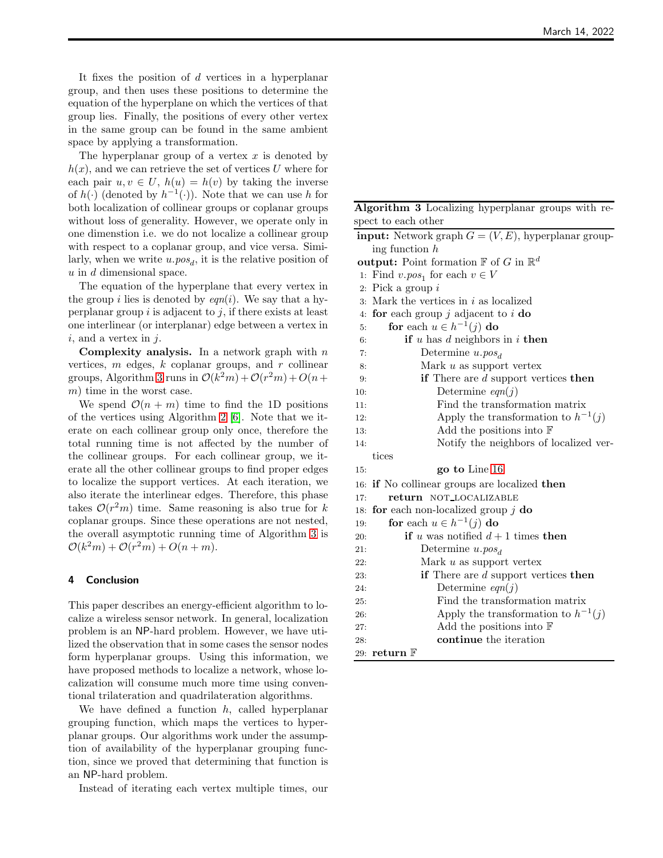It fixes the position of  $d$  vertices in a hyperplanar group, and then uses these positions to determine the equation of the hyperplane on which the vertices of that group lies. Finally, the positions of every other vertex in the same group can be found in the same ambient space by applying a transformation.

The hyperplanar group of a vertex  $x$  is denoted by  $h(x)$ , and we can retrieve the set of vertices U where for each pair  $u, v \in U$ ,  $h(u) = h(v)$  by taking the inverse of  $h(\cdot)$  (denoted by  $h^{-1}(\cdot)$ ). Note that we can use h for both localization of collinear groups or coplanar groups without loss of generality. However, we operate only in one dimenstion i.e. we do not localize a collinear group with respect to a coplanar group, and vice versa. Similarly, when we write  $u. pos_d$ , it is the relative position of  $u$  in  $d$  dimensional space.

The equation of the hyperplane that every vertex in the group i lies is denoted by  $eqn(i)$ . We say that a hyperplanar group  $i$  is adjacent to  $j$ , if there exists at least one interlinear (or interplanar) edge between a vertex in  $i$ , and a vertex in  $j$ .

**Complexity analysis.** In a network graph with  $n$ vertices,  $m$  edges,  $k$  coplanar groups, and  $r$  collinear groups, Algorithm [3](#page-6-0) runs in  $\mathcal{O}(k^2m) + \mathcal{O}(r^2m) + O(n +$ m) time in the worst case.

We spend  $\mathcal{O}(n + m)$  time to find the 1D positions of the vertices using Algorithm [2](#page-5-0) [\[6\]](#page-7-19). Note that we iterate on each collinear group only once, therefore the total running time is not affected by the number of the collinear groups. For each collinear group, we iterate all the other collinear groups to find proper edges to localize the support vertices. At each iteration, we also iterate the interlinear edges. Therefore, this phase takes  $\mathcal{O}(r^2m)$  time. Same reasoning is also true for k coplanar groups. Since these operations are not nested, the overall asymptotic running time of Algorithm [3](#page-6-0) is  $\mathcal{O}(k^2m) + \mathcal{O}(r^2m) + O(n+m).$ 

#### 4 Conclusion

This paper describes an energy-efficient algorithm to localize a wireless sensor network. In general, localization problem is an NP-hard problem. However, we have utilized the observation that in some cases the sensor nodes form hyperplanar groups. Using this information, we have proposed methods to localize a network, whose localization will consume much more time using conventional trilateration and quadrilateration algorithms.

We have defined a function  $h$ , called hyperplanar grouping function, which maps the vertices to hyperplanar groups. Our algorithms work under the assumption of availability of the hyperplanar grouping function, since we proved that determining that function is an NP-hard problem.

Instead of iterating each vertex multiple times, our

<span id="page-6-0"></span>

| Algorithm 3 Localizing hyperplanar groups with re- |  |  |  |
|----------------------------------------------------|--|--|--|
| spect to each other                                |  |  |  |

| <b>input:</b> Network graph $G = (V, E)$ , hyperplanar group-      |
|--------------------------------------------------------------------|
| ing function $h$                                                   |
| <b>output:</b> Point formation $\mathbb{F}$ of G in $\mathbb{R}^d$ |
| 1: Find $v. pos_1$ for each $v \in V$                              |
| 2. Pick a group $i$                                                |
| Mark the vertices in $i$ as localized<br>3.                        |
| for each group $j$ adjacent to $i$ do<br>4:                        |
| for each $u \in h^{-1}(j)$ do<br>5:                                |
| if u has d neighbors in i then<br>6:                               |
| Determine $u.pos_d$<br>7:                                          |
| Mark $u$ as support vertex<br>8:                                   |
| if There are $d$ support vertices then<br>9:                       |
| Determine $eqn(j)$<br>10:                                          |
| Find the transformation matrix<br>11:                              |
| Apply the transformation to $h^{-1}(j)$<br>12:                     |
| Add the positions into $\mathbb F$<br>13:                          |
| Notify the neighbors of localized ver-<br>14:                      |
| tices                                                              |
| go to Line 16<br>15.                                               |
| if No collinear groups are localized then<br>16:                   |
| return NOT_LOCALIZABLE<br>17:                                      |
| for each non-localized group $j$ do<br>18:                         |
| for each $u \in h^{-1}(j)$ do<br>19:                               |
| if u was notified $d+1$ times then<br>20:                          |
| Determine $u.pos_d$<br>21:                                         |
| Mark $u$ as support vertex<br>22:                                  |
| if There are $d$ support vertices then<br>23:                      |
| Determine $eqn(j)$<br>24.                                          |
| Find the transformation matrix<br>25:                              |
| Apply the transformation to $h^{-1}(j)$<br>26:                     |
| Add the positions into $\mathbb F$<br>27:                          |
| continue the iteration<br>28:                                      |
| 29: return $\mathbb F$                                             |